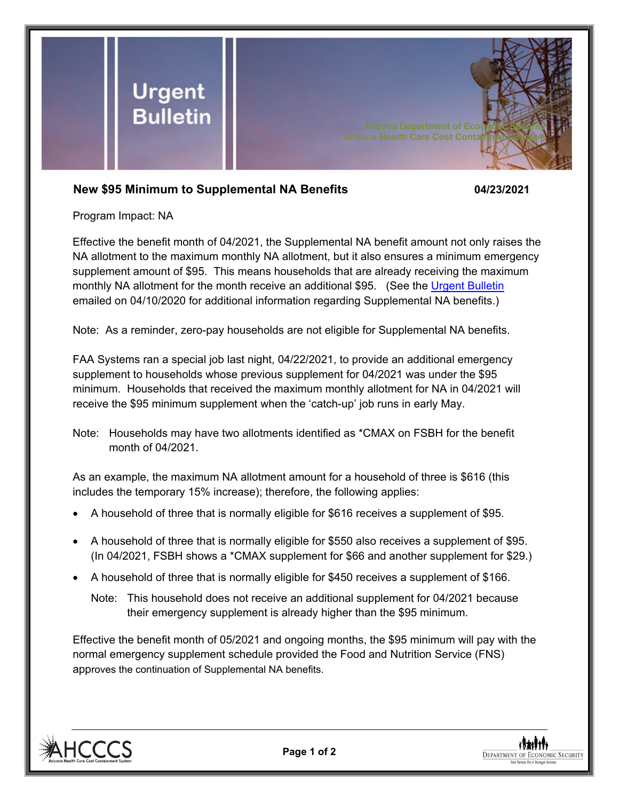

## **New \$95 Minimum to Supplemental NA Benefits 04/23/2021**

Program Impact: NA

Effective the benefit month of 04/2021, the Supplemental NA benefit amount not only raises the NA allotment to the maximum monthly NA allotment, but it also ensures a minimum emergency supplement amount of \$95. This means households that are already receiving the maximum monthly NA allotment for the month receive an additional \$95. (See the [Urgent Bulletin](https://dbmefaapolicy.azdes.gov/FAA5/baggage/Urgent%20Bulletin%20(04-10-2020)%20-%20Supplemental%20Nutrition%20Assistance%20Benefits%20for%20Participants.pdf) emailed on 04/10/2020 for additional information regarding Supplemental NA benefits.)

Note: As a reminder, zero-pay households are not eligible for Supplemental NA benefits.

FAA Systems ran a special job last night, 04/22/2021, to provide an additional emergency supplement to households whose previous supplement for 04/2021 was under the \$95 minimum. Households that received the maximum monthly allotment for NA in 04/2021 will receive the \$95 minimum supplement when the 'catch-up' job runs in early May.

Note: Households may have two allotments identified as \*CMAX on FSBH for the benefit month of 04/2021.

As an example, the maximum NA allotment amount for a household of three is \$616 (this includes the temporary 15% increase); therefore, the following applies:

- A household of three that is normally eligible for \$616 receives a supplement of \$95.
- A household of three that is normally eligible for \$550 also receives a supplement of \$95. (In 04/2021, FSBH shows a \*CMAX supplement for \$66 and another supplement for \$29.)
- A household of three that is normally eligible for \$450 receives a supplement of \$166.
	- Note: This household does not receive an additional supplement for 04/2021 because their emergency supplement is already higher than the \$95 minimum.

Effective the benefit month of 05/2021 and ongoing months, the \$95 minimum will pay with the normal emergency supplement schedule provided the Food and Nutrition Service (FNS) approves the continuation of Supplemental NA benefits.